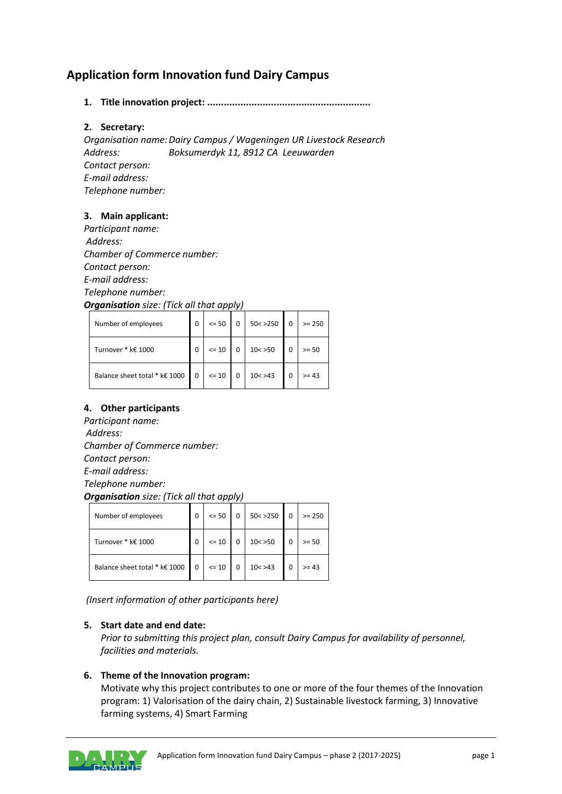# **Application form Innovation fund Dairy Campus**

### **1. Title innovation project: ...........................................................**

### **2. Secretary:**

*Organisation name:Dairy Campus / Wageningen UR Livestock Research Address: Boksumerdyk 11, 8912 CA Leeuwarden Contact person: E-mail address: Telephone number:*

### **3. Main applicant:**

*Participant name: Address: Chamber of Commerce number: Contact person: E-mail address: Telephone number: Organisation size: (Tick all that apply)*

| $\ldots$                      |             |         |  |          |  |          |  |
|-------------------------------|-------------|---------|--|----------|--|----------|--|
| Number of employees           | 0           | $= 50$  |  | 50 < 250 |  | $>= 250$ |  |
| Turnover * k€ 1000            | $\Omega$    | $= 10$  |  | 10 < 50  |  | $>= 50$  |  |
| Balance sheet total * k€ 1000 | $\mathbf 0$ | $<= 10$ |  | 10 < 243 |  | $>= 43$  |  |

# **4. Other participants**

*Participant name: Address: Chamber of Commerce number: Contact person: E-mail address: Telephone number: Organisation size: (Tick all that apply)*

| Number of employees           | 0        | $= 50$  | 50 < 250 | $>= 250$ |
|-------------------------------|----------|---------|----------|----------|
| Turnover * k€ 1000            | 0        | $= 10$  | 10 < 50  | $>= 50$  |
| Balance sheet total * k€ 1000 | $\Omega$ | $<= 10$ | 10 < 243 | $>= 43$  |

*(Insert information of other participants here)*

#### **5. Start date and end date:**

*Prior to submitting this project plan, consult Dairy Campus for availability of personnel, facilities and materials.*

#### **6. Theme of the Innovation program:**

Motivate why this project contributes to one or more of the four themes of the Innovation program: 1) Valorisation of the dairy chain, 2) Sustainable livestock farming, 3) Innovative farming systems, 4) Smart Farming